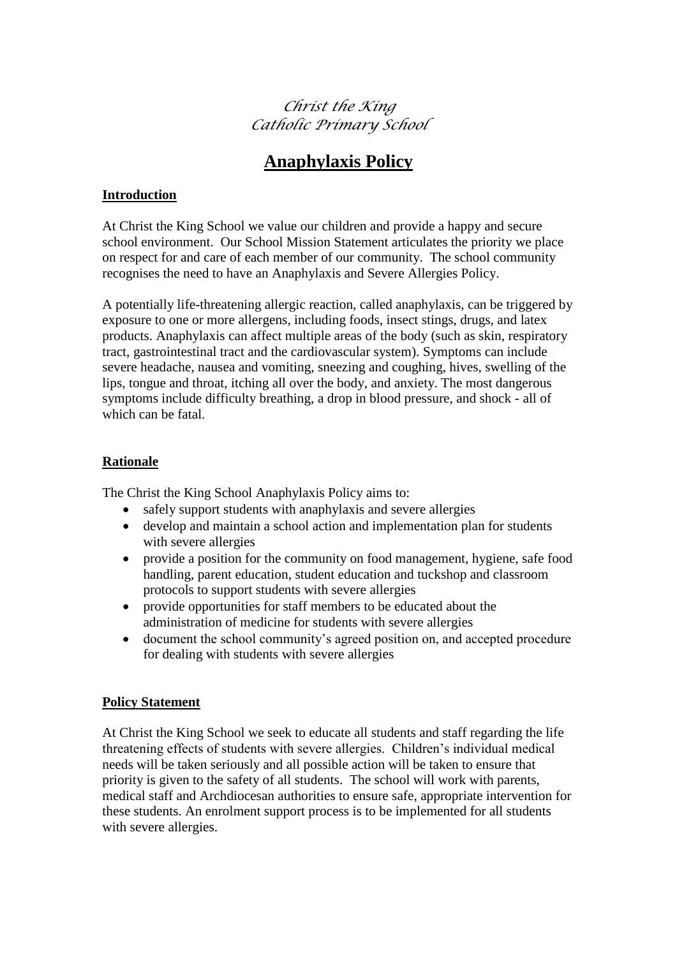*Christ the King Catholic Primary School*

# **Anaphylaxis Policy**

# **Introduction**

At Christ the King School we value our children and provide a happy and secure school environment. Our School Mission Statement articulates the priority we place on respect for and care of each member of our community. The school community recognises the need to have an Anaphylaxis and Severe Allergies Policy.

A potentially life-threatening allergic reaction, called anaphylaxis, can be triggered by exposure to one or more allergens, including foods, insect stings, drugs, and latex products. Anaphylaxis can affect multiple areas of the body (such as skin, respiratory tract, gastrointestinal tract and the cardiovascular system). Symptoms can include severe headache, nausea and vomiting, sneezing and coughing, hives, swelling of the lips, tongue and throat, itching all over the body, and anxiety. The most dangerous symptoms include difficulty breathing, a drop in blood pressure, and shock - all of which can be fatal.

## **Rationale**

The Christ the King School Anaphylaxis Policy aims to:

- safely support students with anaphylaxis and severe allergies
- develop and maintain a school action and implementation plan for students with severe allergies
- provide a position for the community on food management, hygiene, safe food handling, parent education, student education and tuckshop and classroom protocols to support students with severe allergies
- provide opportunities for staff members to be educated about the administration of medicine for students with severe allergies
- document the school community's agreed position on, and accepted procedure for dealing with students with severe allergies

# **Policy Statement**

At Christ the King School we seek to educate all students and staff regarding the life threatening effects of students with severe allergies. Children's individual medical needs will be taken seriously and all possible action will be taken to ensure that priority is given to the safety of all students. The school will work with parents, medical staff and Archdiocesan authorities to ensure safe, appropriate intervention for these students. An enrolment support process is to be implemented for all students with severe allergies.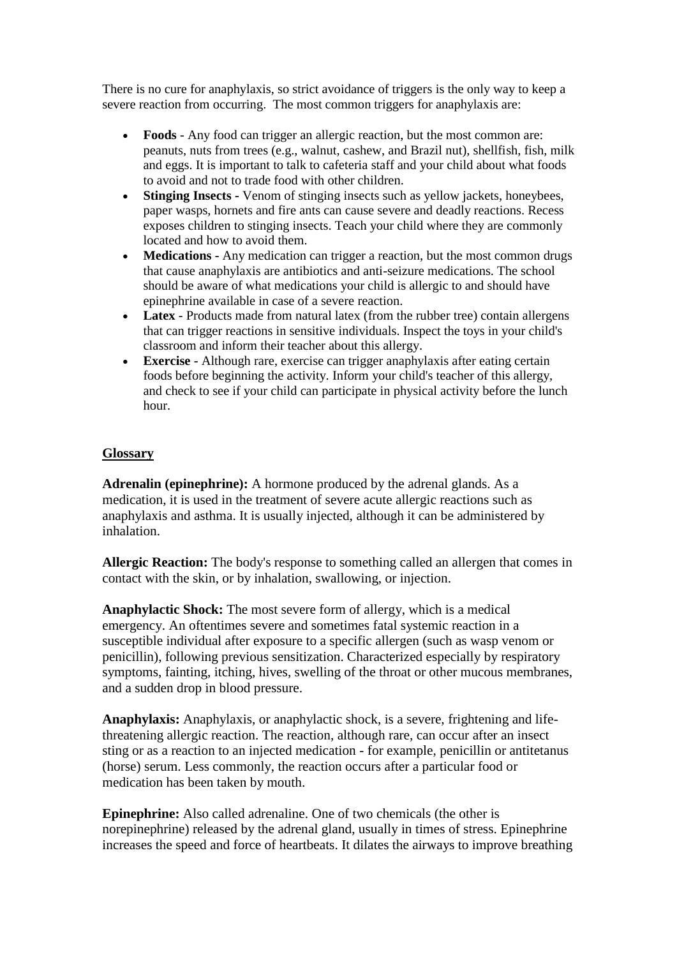There is no cure for anaphylaxis, so strict avoidance of triggers is the only way to keep a severe reaction from occurring. The most common triggers for anaphylaxis are:

- **Foods**  Any food can trigger an allergic reaction, but the most common are: peanuts, nuts from trees (e.g., walnut, cashew, and Brazil nut), shellfish, fish, milk and eggs. It is important to talk to cafeteria staff and your child about what foods to avoid and not to trade food with other children.
- **Stinging Insects -** Venom of stinging insects such as yellow jackets, honeybees, paper wasps, hornets and fire ants can cause severe and deadly reactions. Recess exposes children to stinging insects. Teach your child where they are commonly located and how to avoid them.
- **Medications** Any medication can trigger a reaction, but the most common drugs that cause anaphylaxis are antibiotics and anti-seizure medications. The school should be aware of what medications your child is allergic to and should have epinephrine available in case of a severe reaction.
- Latex Products made from natural latex (from the rubber tree) contain allergens that can trigger reactions in sensitive individuals. Inspect the toys in your child's classroom and inform their teacher about this allergy.
- **Exercise -** Although rare, exercise can trigger anaphylaxis after eating certain foods before beginning the activity. Inform your child's teacher of this allergy, and check to see if your child can participate in physical activity before the lunch hour.

#### **Glossary**

**Adrenalin (epinephrine):** A hormone produced by the adrenal glands. As a medication, it is used in the treatment of severe acute allergic reactions such as anaphylaxis and asthma. It is usually injected, although it can be administered by inhalation.

**Allergic Reaction:** The body's response to something called an allergen that comes in contact with the skin, or by inhalation, swallowing, or injection.

**Anaphylactic Shock:** The most severe form of allergy, which is a medical emergency. An oftentimes severe and sometimes fatal systemic reaction in a susceptible individual after exposure to a specific allergen (such as wasp venom or penicillin), following previous sensitization. Characterized especially by respiratory symptoms, fainting, itching, hives, swelling of the throat or other mucous membranes, and a sudden drop in blood pressure.

**Anaphylaxis:** Anaphylaxis, or anaphylactic shock, is a severe, frightening and lifethreatening allergic reaction. The reaction, although rare, can occur after an insect sting or as a reaction to an injected medication - for example, penicillin or antitetanus (horse) serum. Less commonly, the reaction occurs after a particular food or medication has been taken by mouth.

**Epinephrine:** Also called adrenaline. One of two chemicals (the other is norepinephrine) released by the adrenal gland, usually in times of stress. Epinephrine increases the speed and force of heartbeats. It dilates the airways to improve breathing